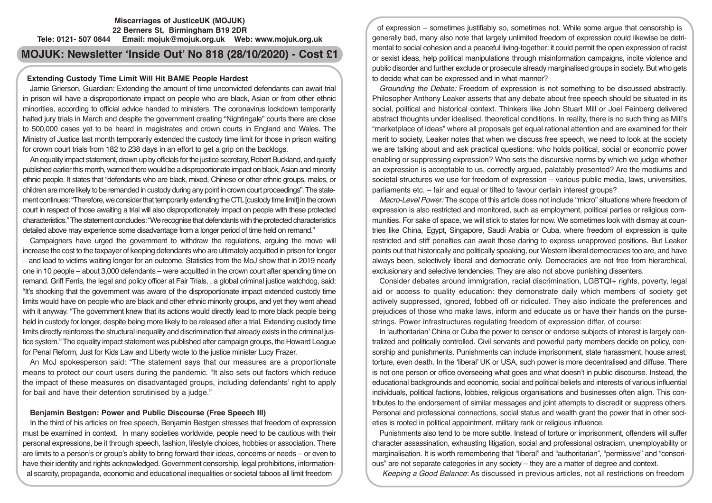## **Miscarriages of JusticeUK (MOJUK) 22 Berners St, Birmingham B19 2DR Tele: 0121- 507 0844 Email: mojuk@mojuk.org.uk Web: www.mojuk.org.uk**

# **MOJUK: Newsletter 'Inside Out' No 818 (28/10/2020) - Cost £1**

## **Extending Custody Time Limit Will Hit BAME People Hardest**

Jamie Grierson, Guardian: Extending the amount of time unconvicted defendants can await trial in prison will have a disproportionate impact on people who are black, Asian or from other ethnic minorities, according to official advice handed to ministers. The coronavirus lockdown temporarily halted jury trials in March and despite the government creating "Nightingale" courts there are close to 500,000 cases yet to be heard in magistrates and crown courts in England and Wales. The Ministry of Justice last month temporarily extended the custody time limit for those in prison waiting for crown court trials from 182 to 238 days in an effort to get a grip on the backlogs.

An equality impact statement, drawn up by officials for the justice secretary, Robert Buckland, and quietly published earlier this month, warned there would be a disproportionate impact on black, Asian and minority ethnic people. It states that "defendants who are black, mixed, Chinese or other ethnic groups, males, or children are more likely to be remanded in custody during any point in crown court proceedings". The statement continues: "Therefore, we consider that temporarily extending the CTL [custody time limit] in the crown court in respect of those awaiting a trial will also disproportionately impact on people with these protected characteristics." The statement concludes: "We recognise that defendants with the protected characteristics detailed above may experience some disadvantage from a longer period of time held on remand."

Campaigners have urged the government to withdraw the regulations, arguing the move will increase the cost to the taxpayer of keeping defendants who are ultimately acquitted in prison for longer – and lead to victims waiting longer for an outcome. Statistics from the MoJ show that in 2019 nearly one in 10 people – about 3,000 defendants – were acquitted in the crown court after spending time on remand. Griff Ferris, the legal and policy officer at Fair Trials, , a global criminal justice watchdog, said: "It's shocking that the government was aware of the disproportionate impact extended custody time limits would have on people who are black and other ethnic minority groups, and yet they went ahead with it anyway. "The government knew that its actions would directly lead to more black people being held in custody for longer, despite being more likely to be released after a trial. Extending custody time limits directly reinforces the structural inequality and discrimination that already exists in the criminal justice system." The equality impact statement was published after campaign groups, the Howard League for Penal Reform, Just for Kids Law and Liberty wrote to the justice minister Lucy Frazer.

An MoJ spokesperson said: "The statement says that our measures are a proportionate means to protect our court users during the pandemic. "It also sets out factors which reduce the impact of these measures on disadvantaged groups, including defendants' right to apply for bail and have their detention scrutinised by a judge."

## **Benjamin Bestgen: Power and Public Discourse (Free Speech III)**

In the third of his articles on free speech, Benjamin Bestgen stresses that freedom of expression must be examined in context. In many societies worldwide, people need to be cautious with their personal expressions, be it through speech, fashion, lifestyle choices, hobbies or association. There are limits to a person's or group's ability to bring forward their ideas, concerns or needs – or even to have their identity and rights acknowledged. Government censorship, legal prohibitions, informational scarcity, propaganda, economic and educational inequalities or societal taboos all limit freedom

of expression – sometimes justifiably so, sometimes not. While some argue that censorship is generally bad, many also note that largely unlimited freedom of expression could likewise be detrimental to social cohesion and a peaceful living-together: it could permit the open expression of racist or sexist ideas, help political manipulations through misinformation campaigns, incite violence and public disorder and further exclude or prosecute already marginalised groups in society. But who gets to decide what can be expressed and in what manner?

*Grounding the Debate:* Freedom of expression is not something to be discussed abstractly. Philosopher Anthony Leaker asserts that any debate about free speech should be situated in its social, political and historical context. Thinkers like John Stuart Mill or Joel Feinberg delivered abstract thoughts under idealised, theoretical conditions. In reality, there is no such thing as Mill's "marketplace of ideas" where all proposals get equal rational attention and are examined for their merit to society. Leaker notes that when we discuss free speech, we need to look at the society we are talking about and ask practical questions: who holds political, social or economic power enabling or suppressing expression? Who sets the discursive norms by which we judge whether an expression is acceptable to us, correctly argued, palatably presented? Are the mediums and societal structures we use for freedom of expression – various public media, laws, universities, parliaments etc. – fair and equal or tilted to favour certain interest groups?

*Macro-Level Power:* The scope of this article does not include "micro" situations where freedom of expression is also restricted and monitored, such as employment, political parties or religious communities. For sake of space, we will stick to states for now. We sometimes look with dismay at countries like China, Egypt, Singapore, Saudi Arabia or Cuba, where freedom of expression is quite restricted and stiff penalties can await those daring to express unapproved positions. But Leaker points out that historically and politically speaking, our Western liberal democracies too are, and have always been, selectively liberal and democratic only. Democracies are not free from hierarchical, exclusionary and selective tendencies. They are also not above punishing dissenters.

Consider debates around immigration, racial discrimination, LGBTQI+ rights, poverty, legal aid or access to quality education: they demonstrate daily which members of society get actively suppressed, ignored, fobbed off or ridiculed. They also indicate the preferences and prejudices of those who make laws, inform and educate us or have their hands on the pursestrings. Power infrastructures regulating freedom of expression differ, of course:

In 'authoritarian' China or Cuba the power to censor or endorse subjects of interest is largely centralized and politically controlled. Civil servants and powerful party members decide on policy, censorship and punishments. Punishments can include imprisonment, state harassment, house arrest, torture, even death. In the 'liberal' UK or USA, such power is more decentralised and diffuse. There is not one person or office overseeing what goes and what doesn't in public discourse. Instead, the educational backgrounds and economic, social and political beliefs and interests of various influential individuals, political factions, lobbies, religious organisations and businesses often align. This contributes to the endorsement of similar messages and joint attempts to discredit or suppress others. Personal and professional connections, social status and wealth grant the power that in other societies is rooted in political appointment, military rank or religious influence.

Punishments also tend to be more subtle. Instead of torture or imprisonment, offenders will suffer character assassination, exhausting litigation, social and professional ostracism, unemployability or marginalisation. It is worth remembering that "liberal" and "authoritarian", "permissive" and "censorious" are not separate categories in any society – they are a matter of degree and context.

*Keeping a Good Balance*: As discussed in previous articles, not all restrictions on freedom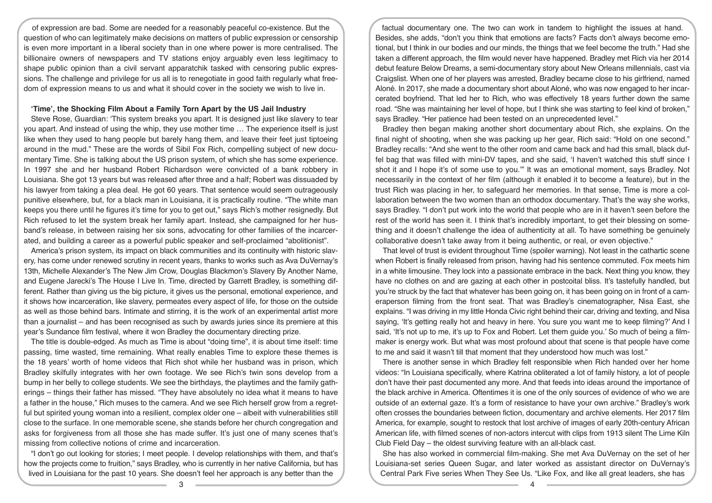of expression are bad. Some are needed for a reasonably peaceful co-existence. But the question of who can legitimately make decisions on matters of public expression or censorship is even more important in a liberal society than in one where power is more centralised. The billionaire owners of newspapers and TV stations enjoy arguably even less legitimacy to shape public opinion than a civil servant apparatchik tasked with censoring public expressions. The challenge and privilege for us all is to renegotiate in good faith regularly what freedom of expression means to us and what it should cover in the society we wish to live in.

## **'Time', the Shocking Film About a Family Torn Apart by the US Jail Industry**

Steve Rose, Guardian: 'This system breaks you apart. It is designed just like slavery to tear you apart. And instead of using the whip, they use mother time … The experience itself is just like when they used to hang people but barely hang them, and leave their feet just tiptoeing around in the mud." These are the words of Sibil Fox Rich, compelling subject of new documentary Time. She is talking about the US prison system, of which she has some experience. In 1997 she and her husband Robert Richardson were convicted of a bank robbery in Louisiana. She got 13 years but was released after three and a half; Robert was dissuaded by his lawyer from taking a plea deal. He got 60 years. That sentence would seem outrageously punitive elsewhere, but, for a black man in Louisiana, it is practically routine. "The white man keeps you there until he figures it's time for you to get out," says Rich's mother resignedly. But Rich refused to let the system break her family apart. Instead, she campaigned for her husband's release, in between raising her six sons, advocating for other families of the incarcerated, and building a career as a powerful public speaker and self-proclaimed "abolitionist".

America's prison system, its impact on black communities and its continuity with historic slavery, has come under renewed scrutiny in recent years, thanks to works such as Ava DuVernay's 13th, Michelle Alexander's The New Jim Crow, Douglas Blackmon's Slavery By Another Name, and Eugene Jarecki's The House I Live In. Time, directed by Garrett Bradley, is something different. Rather than giving us the big picture, it gives us the personal, emotional experience, and it shows how incarceration, like slavery, permeates every aspect of life, for those on the outside as well as those behind bars. Intimate and stirring, it is the work of an experimental artist more than a journalist – and has been recognised as such by awards juries since its premiere at this year's Sundance film festival, where it won Bradley the documentary directing prize.

The title is double-edged. As much as Time is about "doing time", it is about time itself: time passing, time wasted, time remaining. What really enables Time to explore these themes is the 18 years' worth of home videos that Rich shot while her husband was in prison, which Bradley skilfully integrates with her own footage. We see Rich's twin sons develop from a bump in her belly to college students. We see the birthdays, the playtimes and the family gatherings – things their father has missed. "They have absolutely no idea what it means to have a father in the house," Rich muses to the camera. And we see Rich herself grow from a regretful but spirited young woman into a resilient, complex older one – albeit with vulnerabilities still close to the surface. In one memorable scene, she stands before her church congregation and asks for forgiveness from all those she has made suffer. It's just one of many scenes that's missing from collective notions of crime and incarceration.

"I don't go out looking for stories; I meet people. I develop relationships with them, and that's how the projects come to fruition," says Bradley, who is currently in her native California, but has lived in Louisiana for the past 10 years. She doesn't feel her approach is any better than the

factual documentary one. The two can work in tandem to highlight the issues at hand. Besides, she adds, "don't you think that emotions are facts? Facts don't always become emotional, but I think in our bodies and our minds, the things that we feel become the truth." Had she taken a different approach, the film would never have happened. Bradley met Rich via her 2014 debut feature Below Dreams, a semi-documentary story about New Orleans millennials, cast via Craigslist. When one of her players was arrested, Bradley became close to his girlfriend, named Aloné. In 2017, she made a documentary short about Aloné, who was now engaged to her incarcerated boyfriend. That led her to Rich, who was effectively 18 years further down the same road. "She was maintaining her level of hope, but I think she was starting to feel kind of broken," says Bradley. "Her patience had been tested on an unprecedented level."

Bradley then began making another short documentary about Rich, she explains. On the final night of shooting, when she was packing up her gear, Rich said: "Hold on one second." Bradley recalls: "And she went to the other room and came back and had this small, black duffel bag that was filled with mini-DV tapes, and she said, 'I haven't watched this stuff since I shot it and I hope it's of some use to you.'" It was an emotional moment, says Bradley. Not necessarily in the context of her film (although it enabled it to become a feature), but in the trust Rich was placing in her, to safeguard her memories. In that sense, Time is more a collaboration between the two women than an orthodox documentary. That's the way she works, says Bradley. "I don't put work into the world that people who are in it haven't seen before the rest of the world has seen it. I think that's incredibly important, to get their blessing on something and it doesn't challenge the idea of authenticity at all. To have something be genuinely collaborative doesn't take away from it being authentic, or real, or even objective."

That level of trust is evident throughout Time (spoiler warning). Not least in the cathartic scene when Robert is finally released from prison, having had his sentence commuted. Fox meets him in a white limousine. They lock into a passionate embrace in the back. Next thing you know, they have no clothes on and are gazing at each other in postcoital bliss. It's tastefully handled, but you're struck by the fact that whatever has been going on, it has been going on in front of a cameraperson filming from the front seat. That was Bradley's cinematographer, Nisa East, she explains. "I was driving in my little Honda Civic right behind their car, driving and texting, and Nisa saying, 'It's getting really hot and heavy in here. You sure you want me to keep filming?' And I said, 'It's not up to me, it's up to Fox and Robert. Let them guide you.' So much of being a filmmaker is energy work. But what was most profound about that scene is that people have come to me and said it wasn't till that moment that they understood how much was lost."

There is another sense in which Bradley felt responsible when Rich handed over her home videos: "In Louisiana specifically, where Katrina obliterated a lot of family history, a lot of people don't have their past documented any more. And that feeds into ideas around the importance of the black archive in America. Oftentimes it is one of the only sources of evidence of who we are outside of an external gaze. It's a form of resistance to have your own archive." Bradley's work often crosses the boundaries between fiction, documentary and archive elements. Her 2017 film America, for example, sought to restock that lost archive of images of early 20th-century African American life, with filmed scenes of non-actors intercut with clips from 1913 silent The Lime Kiln Club Field Day – the oldest surviving feature with an all-black cast.

She has also worked in commercial film-making. She met Ava DuVernay on the set of her Louisiana-set series Queen Sugar, and later worked as assistant director on DuVernay's Central Park Five series When They See Us. "Like Fox, and like all great leaders, she has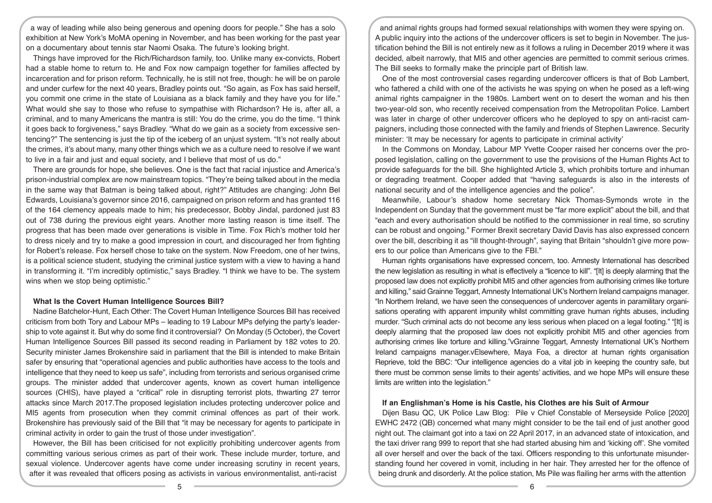a way of leading while also being generous and opening doors for people." She has a solo exhibition at New York's MoMA opening in November, and has been working for the past year on a documentary about tennis star Naomi Osaka. The future's looking bright.

Things have improved for the Rich/Richardson family, too. Unlike many ex-convicts, Robert had a stable home to return to. He and Fox now campaign together for families affected by incarceration and for prison reform. Technically, he is still not free, though: he will be on parole and under curfew for the next 40 years, Bradley points out. "So again, as Fox has said herself, you commit one crime in the state of Louisiana as a black family and they have you for life." What would she say to those who refuse to sympathise with Richardson? He is, after all, a criminal, and to many Americans the mantra is still: You do the crime, you do the time. "I think it goes back to forgiveness," says Bradley. "What do we gain as a society from excessive sentencing?" The sentencing is just the tip of the iceberg of an unjust system. "It's not really about the crimes, it's about many, many other things which we as a culture need to resolve if we want to live in a fair and just and equal society, and I believe that most of us do."

There are grounds for hope, she believes. One is the fact that racial injustice and America's prison-industrial complex are now mainstream topics. "They're being talked about in the media in the same way that Batman is being talked about, right?" Attitudes are changing: John Bel Edwards, Louisiana's governor since 2016, campaigned on prison reform and has granted 116 of the 164 clemency appeals made to him; his predecessor, Bobby Jindal, pardoned just 83 out of 738 during the previous eight years. Another more lasting reason is time itself. The progress that has been made over generations is visible in Time. Fox Rich's mother told her to dress nicely and try to make a good impression in court, and discouraged her from fighting for Robert's release. Fox herself chose to take on the system. Now Freedom, one of her twins, is a political science student, studying the criminal justice system with a view to having a hand in transforming it. "I'm incredibly optimistic," says Bradley. "I think we have to be. The system wins when we stop being optimistic."

#### **What Is the Covert Human Intelligence Sources Bill?**

Nadine Batchelor-Hunt, Each Other: The Covert Human Intelligence Sources Bill has received criticism from both Tory and Labour MPs – leading to 19 Labour MPs defying the party's leadership to vote against it. But why do some find it controversial? On Monday (5 October), the Covert Human Intelligence Sources Bill passed its second reading in Parliament by 182 votes to 20. Security minister James Brokenshire said in parliament that the Bill is intended to make Britain safer by ensuring that "operational agencies and public authorities have access to the tools and intelligence that they need to keep us safe", including from terrorists and serious organised crime groups. The minister added that undercover agents, known as covert human intelligence sources (CHIS), have played a "critical" role in disrupting terrorist plots, thwarting 27 terror attacks since March 2017.The proposed legislation includes protecting undercover police and MI5 agents from prosecution when they commit criminal offences as part of their work. Brokenshire has previously said of the Bill that "it may be necessary for agents to participate in criminal activity in order to gain the trust of those under investigation".

However, the Bill has been criticised for not explicitly prohibiting undercover agents from committing various serious crimes as part of their work. These include murder, torture, and sexual violence. Undercover agents have come under increasing scrutiny in recent years, after it was revealed that officers posing as activists in various environmentalist, anti-racist

and animal rights groups had formed sexual relationships with women they were spying on. A public inquiry into the actions of the undercover officers is set to begin in November. The justification behind the Bill is not entirely new as it follows a ruling in December 2019 where it was decided, albeit narrowly, that MI5 and other agencies are permitted to commit serious crimes. The Bill seeks to formally make the principle part of British law.

One of the most controversial cases regarding undercover officers is that of Bob Lambert, who fathered a child with one of the activists he was spying on when he posed as a left-wing animal rights campaigner in the 1980s. Lambert went on to desert the woman and his then two-year-old son, who recently received compensation from the Metropolitan Police. Lambert was later in charge of other undercover officers who he deployed to spy on anti-racist campaigners, including those connected with the family and friends of Stephen Lawrence. Security minister: 'It may be necessary for agents to participate in criminal activity'

In the Commons on Monday, Labour MP Yvette Cooper raised her concerns over the proposed legislation, calling on the government to use the provisions of the Human Rights Act to provide safeguards for the bill. She highlighted Article 3, which prohibits torture and inhuman or degrading treatment. Cooper added that "having safeguards is also in the interests of national security and of the intelligence agencies and the police".

Meanwhile, Labour's shadow home secretary Nick Thomas-Symonds wrote in the Independent on Sunday that the government must be "far more explicit" about the bill, and that "each and every authorisation should be notified to the commissioner in real time, so scrutiny can be robust and ongoing." Former Brexit secretary David Davis has also expressed concern over the bill, describing it as "ill thought-through", saying that Britain "shouldn't give more powers to our police than Americans give to the FBI."

Human rights organisations have expressed concern, too. Amnesty International has described the new legislation as resulting in what is effectively a "licence to kill". "[It] is deeply alarming that the proposed law does not explicitly prohibit MI5 and other agencies from authorising crimes like torture and killing," said Grainne Teggart, Amnesty International UK's Northern Ireland campaigns manager. "In Northern Ireland, we have seen the consequences of undercover agents in paramilitary organisations operating with apparent impunity whilst committing grave human rights abuses, including murder. "Such criminal acts do not become any less serious when placed on a legal footing." "[It] is deeply alarming that the proposed law does not explicitly prohibit MI5 and other agencies from authorising crimes like torture and killing."vGrainne Teggart, Amnesty International UK's Northern Ireland campaigns manager.vElsewhere, Maya Foa, a director at human rights organisation Reprieve, told the BBC: "Our intelligence agencies do a vital job in keeping the country safe, but there must be common sense limits to their agents' activities, and we hope MPs will ensure these limits are written into the legislation."

#### **If an Englishman's Home is his Castle, his Clothes are his Suit of Armour**

Dijen Basu QC, UK Police Law Blog: Pile v Chief Constable of Merseyside Police [2020] EWHC 2472 (QB) concerned what many might consider to be the tail end of just another good night out. The claimant got into a taxi on 22 April 2017, in an advanced state of intoxication, and the taxi driver rang 999 to report that she had started abusing him and 'kicking off'. She vomited all over herself and over the back of the taxi. Officers responding to this unfortunate misunderstanding found her covered in vomit, including in her hair. They arrested her for the offence of being drunk and disorderly. At the police station, Ms Pile was flailing her arms with the attention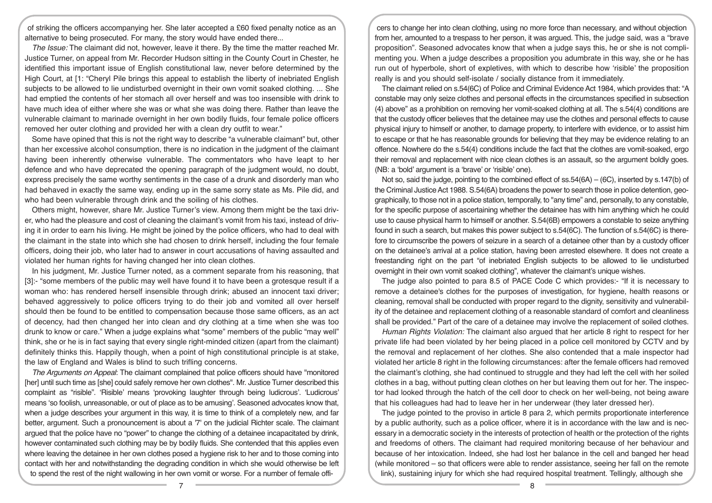of striking the officers accompanying her. She later accepted a £60 fixed penalty notice as an alternative to being prosecuted. For many, the story would have ended there...

*The Issue:* The claimant did not, however, leave it there. By the time the matter reached Mr. Justice Turner, on appeal from Mr. Recorder Hudson sitting in the County Court in Chester, he identified this important issue of English constitutional law, never before determined by the High Court, at [1: "Cheryl Pile brings this appeal to establish the liberty of inebriated English subjects to be allowed to lie undisturbed overnight in their own vomit soaked clothing. ... She had emptied the contents of her stomach all over herself and was too insensible with drink to have much idea of either where she was or what she was doing there. Rather than leave the vulnerable claimant to marinade overnight in her own bodily fluids, four female police officers removed her outer clothing and provided her with a clean dry outfit to wear."

Some have opined that this is not the right way to describe "a vulnerable claimant" but, other than her excessive alcohol consumption, there is no indication in the judgment of the claimant having been inherently otherwise vulnerable. The commentators who have leapt to her defence and who have deprecated the opening paragraph of the judgment would, no doubt, express precisely the same worthy sentiments in the case of a drunk and disorderly man who had behaved in exactly the same way, ending up in the same sorry state as Ms. Pile did, and who had been vulnerable through drink and the soiling of his clothes.

Others might, however, share Mr. Justice Turner's view. Among them might be the taxi driver, who had the pleasure and cost of cleaning the claimant's vomit from his taxi, instead of driving it in order to earn his living. He might be joined by the police officers, who had to deal with the claimant in the state into which she had chosen to drink herself, including the four female officers, doing their job, who later had to answer in court accusations of having assaulted and violated her human rights for having changed her into clean clothes.

In his judgment, Mr. Justice Turner noted, as a comment separate from his reasoning, that [3]:- "some members of the public may well have found it to have been a grotesque result if a woman who: has rendered herself insensible through drink; abused an innocent taxi driver; behaved aggressively to police officers trying to do their job and vomited all over herself should then be found to be entitled to compensation because those same officers, as an act of decency, had then changed her into clean and dry clothing at a time when she was too drunk to know or care." When a judge explains what "some" members of the public "may well" think, she or he is in fact saying that every single right-minded citizen (apart from the claimant) definitely thinks this. Happily though, when a point of high constitutional principle is at stake, the law of England and Wales is blind to such trifling concerns.

*The Arguments on Appeal*: The claimant complained that police officers should have "monitored [her] until such time as [she] could safely remove her own clothes". Mr. Justice Turner described this complaint as "risible". 'Risible' means 'provoking laughter through being ludicrous'. 'Ludicrous' means 'so foolish, unreasonable, or out of place as to be amusing'. Seasoned advocates know that, when a judge describes your argument in this way, it is time to think of a completely new, and far better, argument. Such a pronouncement is about a '7' on the judicial Richter scale. The claimant argued that the police have no "power" to change the clothing of a detainee incapacitated by drink, however contaminated such clothing may be by bodily fluids. She contended that this applies even where leaving the detainee in her own clothes posed a hygiene risk to her and to those coming into contact with her and notwithstanding the degrading condition in which she would otherwise be left to spend the rest of the night wallowing in her own vomit or worse. For a number of female offi-

cers to change her into clean clothing, using no more force than necessary, and without objection from her, amounted to a trespass to her person, it was argued. This, the judge said, was a "brave proposition". Seasoned advocates know that when a judge says this, he or she is not complimenting you. When a judge describes a proposition you adumbrate in this way, she or he has run out of hyperbole, short of expletives, with which to describe how 'risible' the proposition really is and you should self-isolate / socially distance from it immediately.

The claimant relied on s.54(6C) of Police and Criminal Evidence Act 1984, which provides that: "A constable may only seize clothes and personal effects in the circumstances specified in subsection (4) above" as a prohibition on removing her vomit-soaked clothing at all. The s.54(4) conditions are that the custody officer believes that the detainee may use the clothes and personal effects to cause physical injury to himself or another, to damage property, to interfere with evidence, or to assist him to escape or that he has reasonable grounds for believing that they may be evidence relating to an offence. Nowhere do the s.54(4) conditions include the fact that the clothes are vomit-soaked, ergo their removal and replacement with nice clean clothes is an assault, so the argument boldly goes. (NB: a 'bold' argument is a 'brave' or 'risible' one).

Not so, said the judge, pointing to the combined effect of ss.54(6A) – (6C), inserted by s.147(b) of the Criminal Justice Act 1988. S.54(6A) broadens the power to search those in police detention, geographically, to those not in a police station, temporally, to "any time" and, personally, to any constable, for the specific purpose of ascertaining whether the detainee has with him anything which he could use to cause physical harm to himself or another. S.54(6B) empowers a constable to seize anything found in such a search, but makes this power subject to s.54(6C). The function of s.54(6C) is therefore to circumscribe the powers of seizure in a search of a detainee other than by a custody officer on the detainee's arrival at a police station, having been arrested elsewhere. It does not create a freestanding right on the part "of inebriated English subjects to be allowed to lie undisturbed overnight in their own vomit soaked clothing", whatever the claimant's unique wishes.

The judge also pointed to para 8.5 of PACE Code C which provides:- "If it is necessary to remove a detainee's clothes for the purposes of investigation, for hygiene, health reasons or cleaning, removal shall be conducted with proper regard to the dignity, sensitivity and vulnerability of the detainee and replacement clothing of a reasonable standard of comfort and cleanliness shall be provided." Part of the care of a detainee may involve the replacement of soiled clothes.

*Human Rights Violation:* The claimant also argued that her article 8 right to respect for her private life had been violated by her being placed in a police cell monitored by CCTV and by the removal and replacement of her clothes. She also contended that a male inspector had violated her article 8 right in the following circumstances: after the female officers had removed the claimant's clothing, she had continued to struggle and they had left the cell with her soiled clothes in a bag, without putting clean clothes on her but leaving them out for her. The inspector had looked through the hatch of the cell door to check on her well-being, not being aware that his colleagues had had to leave her in her underwear (they later dressed her).

The judge pointed to the proviso in article 8 para 2, which permits proportionate interference by a public authority, such as a police officer, where it is in accordance with the law and is necessary in a democratic society in the interests of protection of health or the protection of the rights and freedoms of others. The claimant had required monitoring because of her behaviour and because of her intoxication. Indeed, she had lost her balance in the cell and banged her head (while monitored – so that officers were able to render assistance, seeing her fall on the remote link), sustaining injury for which she had required hospital treatment. Tellingly, although she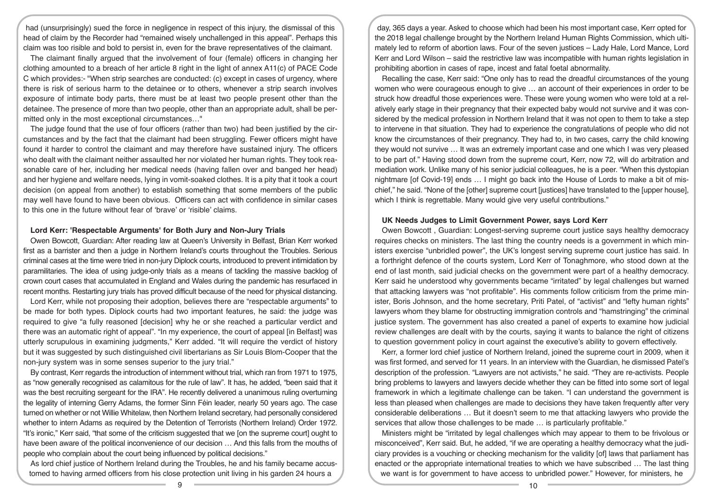had (unsurprisingly) sued the force in negligence in respect of this injury, the dismissal of this head of claim by the Recorder had "remained wisely unchallenged in this appeal". Perhaps this claim was too risible and bold to persist in, even for the brave representatives of the claimant.

The claimant finally argued that the involvement of four (female) officers in changing her clothing amounted to a breach of her article 8 right in the light of annex A11(c) of PACE Code C which provides:- "When strip searches are conducted: (c) except in cases of urgency, where there is risk of serious harm to the detainee or to others, whenever a strip search involves exposure of intimate body parts, there must be at least two people present other than the detainee. The presence of more than two people, other than an appropriate adult, shall be permitted only in the most exceptional circumstances…"

The judge found that the use of four officers (rather than two) had been justified by the circumstances and by the fact that the claimant had been struggling. Fewer officers might have found it harder to control the claimant and may therefore have sustained injury. The officers who dealt with the claimant neither assaulted her nor violated her human rights. They took reasonable care of her, including her medical needs (having fallen over and banged her head) and her hygiene and welfare needs, lying in vomit-soaked clothes. It is a pity that it took a court decision (on appeal from another) to establish something that some members of the public may well have found to have been obvious. Officers can act with confidence in similar cases to this one in the future without fear of 'brave' or 'risible' claims.

### **Lord Kerr: 'Respectable Arguments' for Both Jury and Non-Jury Trials**

Owen Bowcott, Guardian: After reading law at Queen's University in Belfast, Brian Kerr worked first as a barrister and then a judge in Northern Ireland's courts throughout the Troubles. Serious criminal cases at the time were tried in non-jury Diplock courts, introduced to prevent intimidation by paramilitaries. The idea of using judge-only trials as a means of tackling the massive backlog of crown court cases that accumulated in England and Wales during the pandemic has resurfaced in recent months. Restarting jury trials has proved difficult because of the need for physical distancing.

Lord Kerr, while not proposing their adoption, believes there are "respectable arguments" to be made for both types. Diplock courts had two important features, he said: the judge was required to give "a fully reasoned [decision] why he or she reached a particular verdict and there was an automatic right of appeal". "In my experience, the court of appeal [in Belfast] was utterly scrupulous in examining judgments," Kerr added. "It will require the verdict of history but it was suggested by such distinguished civil libertarians as Sir Louis Blom-Cooper that the non-jury system was in some senses superior to the jury trial."

By contrast, Kerr regards the introduction of internment without trial, which ran from 1971 to 1975, as "now generally recognised as calamitous for the rule of law". It has, he added, "been said that it was the best recruiting sergeant for the IRA". He recently delivered a unanimous ruling overturning the legality of interning Gerry Adams, the former Sinn Féin leader, nearly 50 years ago. The case turned on whether or not Willie Whitelaw, then Northern Ireland secretary, had personally considered whether to intern Adams as required by the Detention of Terrorists (Northern Ireland) Order 1972. "It's ironic," Kerr said, "that some of the criticism suggested that we [on the supreme court] ought to have been aware of the political inconvenience of our decision … And this falls from the mouths of people who complain about the court being influenced by political decisions."

As lord chief justice of Northern Ireland during the Troubles, he and his family became accustomed to having armed officers from his close protection unit living in his garden 24 hours a

day, 365 days a year. Asked to choose which had been his most important case, Kerr opted for the 2018 legal challenge brought by the Northern Ireland Human Rights Commission, which ultimately led to reform of abortion laws. Four of the seven justices – Lady Hale, Lord Mance, Lord Kerr and Lord Wilson – said the restrictive law was incompatible with human rights legislation in prohibiting abortion in cases of rape, incest and fatal foetal abnormality.

Recalling the case, Kerr said: "One only has to read the dreadful circumstances of the young women who were courageous enough to give … an account of their experiences in order to be struck how dreadful those experiences were. These were young women who were told at a relatively early stage in their pregnancy that their expected baby would not survive and it was considered by the medical profession in Northern Ireland that it was not open to them to take a step to intervene in that situation. They had to experience the congratulations of people who did not know the circumstances of their pregnancy. They had to, in two cases, carry the child knowing they would not survive … It was an extremely important case and one which I was very pleased to be part of." Having stood down from the supreme court, Kerr, now 72, will do arbitration and mediation work. Unlike many of his senior judicial colleagues, he is a peer. "When this dystopian nightmare [of Covid-19] ends … I might go back into the House of Lords to make a bit of mischief," he said. "None of the [other] supreme court [justices] have translated to the [upper house], which I think is regrettable. Many would give very useful contributions."

### **UK Needs Judges to Limit Government Power, says Lord Kerr**

Owen Bowcott , Guardian: Longest-serving supreme court justice says healthy democracy requires checks on ministers. The last thing the country needs is a government in which ministers exercise "unbridled power", the UK's longest serving supreme court justice has said. In a forthright defence of the courts system, Lord Kerr of Tonaghmore, who stood down at the end of last month, said judicial checks on the government were part of a healthy democracy. Kerr said he understood why governments became "irritated" by legal challenges but warned that attacking lawyers was "not profitable". His comments follow criticism from the prime minister, Boris Johnson, and the home secretary, Priti Patel, of "activist" and "lefty human rights" lawyers whom they blame for obstructing immigration controls and "hamstringing" the criminal justice system. The government has also created a panel of experts to examine how judicial review challenges are dealt with by the courts, saying it wants to balance the right of citizens to question government policy in court against the executive's ability to govern effectively.

Kerr, a former lord chief justice of Northern Ireland, joined the supreme court in 2009, when it was first formed, and served for 11 years. In an interview with the Guardian, he dismissed Patel's description of the profession. "Lawyers are not activists," he said. "They are re-activists. People bring problems to lawyers and lawyers decide whether they can be fitted into some sort of legal framework in which a legitimate challenge can be taken. "I can understand the government is less than pleased when challenges are made to decisions they have taken frequently after very considerable deliberations … But it doesn't seem to me that attacking lawyers who provide the services that allow those challenges to be made … is particularly profitable."

Ministers might be "irritated by legal challenges which may appear to them to be frivolous or misconceived", Kerr said. But, he added, "if we are operating a healthy democracy what the judiciary provides is a vouching or checking mechanism for the validity [of] laws that parliament has enacted or the appropriate international treaties to which we have subscribed … The last thing we want is for government to have access to unbridled power." However, for ministers, he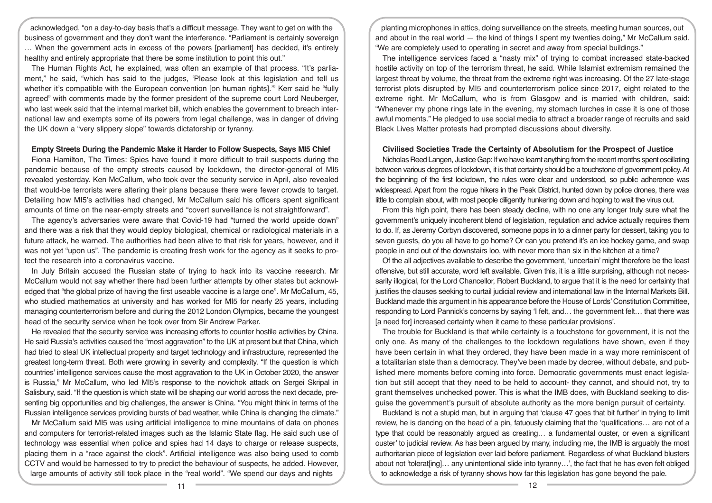acknowledged, "on a day-to-day basis that's a difficult message. They want to get on with the business of government and they don't want the interference. "Parliament is certainly sovereign … When the government acts in excess of the powers [parliament] has decided, it's entirely healthy and entirely appropriate that there be some institution to point this out."

The Human Rights Act, he explained, was often an example of that process. "It's parliament," he said, "which has said to the judges, 'Please look at this legislation and tell us whether it's compatible with the European convention [on human rights].'" Kerr said he "fully agreed" with comments made by the former president of the supreme court Lord Neuberger, who last week said that the internal market bill, which enables the government to breach international law and exempts some of its powers from legal challenge, was in danger of driving the UK down a "very slippery slope" towards dictatorship or tyranny.

#### **Empty Streets During the Pandemic Make it Harder to Follow Suspects, Says MI5 Chief**

Fiona Hamilton, The Times: Spies have found it more difficult to trail suspects during the pandemic because of the empty streets caused by lockdown, the director-general of MI5 revealed yesterday. Ken McCallum, who took over the security service in April, also revealed that would-be terrorists were altering their plans because there were fewer crowds to target. Detailing how MI5's activities had changed, Mr McCallum said his officers spent significant amounts of time on the near-empty streets and "covert surveillance is not straightforward".

The agency's adversaries were aware that Covid-19 had "turned the world upside down" and there was a risk that they would deploy biological, chemical or radiological materials in a future attack, he warned. The authorities had been alive to that risk for years, however, and it was not yet "upon us". The pandemic is creating fresh work for the agency as it seeks to protect the research into a coronavirus vaccine.

In July Britain accused the Russian state of trying to hack into its vaccine research. Mr McCallum would not say whether there had been further attempts by other states but acknowledged that "the global prize of having the first useable vaccine is a large one". Mr McCallum, 45, who studied mathematics at university and has worked for MI5 for nearly 25 years, including managing counterterrorism before and during the 2012 London Olympics, became the youngest head of the security service when he took over from Sir Andrew Parker.

He revealed that the security service was increasing efforts to counter hostile activities by China. He said Russia's activities caused the "most aggravation" to the UK at present but that China, which had tried to steal UK intellectual property and target technology and infrastructure, represented the greatest long-term threat. Both were growing in severity and complexity. "If the question is which countries' intelligence services cause the most aggravation to the UK in October 2020, the answer is Russia," Mr McCallum, who led MI5's response to the novichok attack on Sergei Skripal in Salisbury, said. "If the question is which state will be shaping our world across the next decade, presenting big opportunities and big challenges, the answer is China. "You might think in terms of the Russian intelligence services providing bursts of bad weather, while China is changing the climate."

Mr McCallum said MI5 was using artificial intelligence to mine mountains of data on phones and computers for terrorist-related images such as the Islamic State flag. He said such use of technology was essential when police and spies had 14 days to charge or release suspects, placing them in a "race against the clock". Artificial intelligence was also being used to comb CCTV and would be harnessed to try to predict the behaviour of suspects, he added. However, large amounts of activity still took place in the "real world". "We spend our days and nights

planting microphones in attics, doing surveillance on the streets, meeting human sources, out and about in the real world — the kind of things I spent my twenties doing," Mr McCallum said. "We are completely used to operating in secret and away from special buildings."

The intelligence services faced a "nasty mix" of trying to combat increased state-backed hostile activity on top of the terrorism threat, he said. While Islamist extremism remained the largest threat by volume, the threat from the extreme right was increasing. Of the 27 late-stage terrorist plots disrupted by MI5 and counterterrorism police since 2017, eight related to the extreme right. Mr McCallum, who is from Glasgow and is married with children, said: "Whenever my phone rings late in the evening, my stomach lurches in case it is one of those awful moments." He pledged to use social media to attract a broader range of recruits and said Black Lives Matter protests had prompted discussions about diversity.

### **Civilised Societies Trade the Certainty of Absolutism for the Prospect of Justice**

Nicholas Reed Langen, Justice Gap: If we have learnt anything from the recent months spent oscillating between various degrees of lockdown, it is that certainty should be a touchstone of government policy. At the beginning of the first lockdown, the rules were clear and understood, so public adherence was widespread. Apart from the rogue hikers in the Peak District, hunted down by police drones, there was little to complain about, with most people diligently hunkering down and hoping to wait the virus out.

From this high point, there has been steady decline, with no one any longer truly sure what the government's uniquely incoherent blend of legislation, regulation and advice actually requires them to do. If, as Jeremy Corbyn discovered, someone pops in to a dinner party for dessert, taking you to seven guests, do you all have to go home? Or can you pretend it's an ice hockey game, and swap people in and out of the downstairs loo, with never more than six in the kitchen at a time?

Of the all adjectives available to describe the government, 'uncertain' might therefore be the least offensive, but still accurate, word left available. Given this, it is a little surprising, although not necessarily illogical, for the Lord Chancellor, Robert Buckland, to argue that it is the need for certainty that justifies the clauses seeking to curtail judicial review and international law in the Internal Markets Bill. Buckland made this argument in his appearance before the House of Lords' Constitution Committee, responding to Lord Pannick's concerns by saying 'I felt, and… the government felt… that there was [a need for] increased certainty when it came to these particular provisions'.

The trouble for Buckland is that while certainty is a touchstone for government, it is not the only one. As many of the challenges to the lockdown regulations have shown, even if they have been certain in what they ordered, they have been made in a way more reminiscent of a totalitarian state than a democracy. They've been made by decree, without debate, and published mere moments before coming into force. Democratic governments must enact legislation but still accept that they need to be held to account- they cannot, and should not, try to grant themselves unchecked power. This is what the IMB does, with Buckland seeking to disguise the government's pursuit of absolute authority as the more benign pursuit of certainty.

Buckland is not a stupid man, but in arguing that 'clause 47 goes that bit further' in trying to limit review, he is dancing on the head of a pin, fatuously claiming that the 'qualifications… are not of a type that could be reasonably argued as creating… a fundamental ouster, or even a significant ouster' to judicial review. As has been argued by many, including me, the IMB is arguably the most authoritarian piece of legislation ever laid before parliament. Regardless of what Buckland blusters about not 'tolerat[ing]... any unintentional slide into tyranny...', the fact that he has even felt obliged to acknowledge a risk of tyranny shows how far this legislation has gone beyond the pale.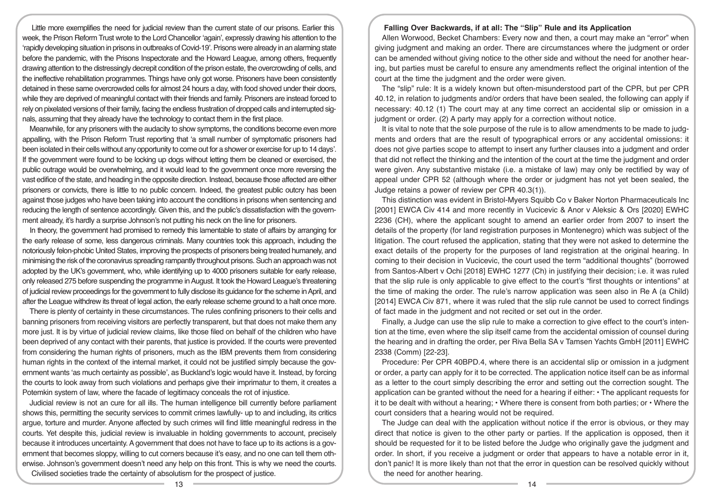Little more exemplifies the need for judicial review than the current state of our prisons. Earlier this week, the Prison Reform Trust wrote to the Lord Chancellor 'again', expressly drawing his attention to the 'rapidly developing situation in prisons in outbreaks of Covid-19'. Prisons were already in an alarming state before the pandemic, with the Prisons Inspectorate and the Howard League, among others, frequently drawing attention to the distressingly decrepit condition of the prison estate, the overcrowding of cells, and the ineffective rehabilitation programmes. Things have only got worse. Prisoners have been consistently detained in these same overcrowded cells for almost 24 hours a day, with food shoved under their doors, while they are deprived of meaningful contact with their friends and family. Prisoners are instead forced to rely on pixelated versions of their family, facing the endless frustration of dropped calls and interrupted signals, assuming that they already have the technology to contact them in the first place.

Meanwhile, for any prisoners with the audacity to show symptoms, the conditions become even more appalling, with the Prison Reform Trust reporting that 'a small number of symptomatic prisoners had been isolated in their cells without any opportunity to come out for a shower or exercise for up to 14 days'. If the government were found to be locking up dogs without letting them be cleaned or exercised, the public outrage would be overwhelming, and it would lead to the government once more reversing the vast edifice of the state, and heading in the opposite direction. Instead, because those affected are either prisoners or convicts, there is little to no public concern. Indeed, the greatest public outcry has been against those judges who have been taking into account the conditions in prisons when sentencing and reducing the length of sentence accordingly. Given this, and the public's dissatisfaction with the government already, it's hardly a surprise Johnson's not putting his neck on the line for prisoners.

In theory, the government had promised to remedy this lamentable to state of affairs by arranging for the early release of some, less dangerous criminals. Many countries took this approach, including the notoriously felon-phobic United States, improving the prospects of prisoners being treated humanely, and minimising the risk of the coronavirus spreading rampantly throughout prisons. Such an approach was not adopted by the UK's government, who, while identifying up to 4000 prisoners suitable for early release, only released 275 before suspending the programme in August. It took the Howard League's threatening of judicial review proceedings for the government to fully disclose its guidance for the scheme in April, and after the League withdrew its threat of legal action, the early release scheme ground to a halt once more.

There is plenty of certainty in these circumstances. The rules confining prisoners to their cells and banning prisoners from receiving visitors are perfectly transparent, but that does not make them any more just. It is by virtue of judicial review claims, like those filed on behalf of the children who have been deprived of any contact with their parents, that justice is provided. If the courts were prevented from considering the human rights of prisoners, much as the IBM prevents them from considering human rights in the context of the internal market, it could not be justified simply because the government wants 'as much certainty as possible', as Buckland's logic would have it. Instead, by forcing the courts to look away from such violations and perhaps give their imprimatur to them, it creates a Potemkin system of law, where the facade of legitimacy conceals the rot of injustice.

Judicial review is not an cure for all ills. The human intelligence bill currently before parliament shows this, permitting the security services to commit crimes lawfully- up to and including, its critics argue, torture and murder. Anyone affected by such crimes will find little meaningful redress in the courts. Yet despite this, judicial review is invaluable in holding governments to account, precisely because it introduces uncertainty. A government that does not have to face up to its actions is a government that becomes sloppy, willing to cut corners because it's easy, and no one can tell them otherwise. Johnson's government doesn't need any help on this front. This is why we need the courts.

Civilised societies trade the certainty of absolutism for the prospect of justice.

#### **Falling Over Backwards, if at all: The "Slip" Rule and its Application**

Allen Worwood, Becket Chambers: Every now and then, a court may make an "error" when giving judgment and making an order. There are circumstances where the judgment or order can be amended without giving notice to the other side and without the need for another hearing, but parties must be careful to ensure any amendments reflect the original intention of the court at the time the judgment and the order were given.

The "slip" rule: It is a widely known but often-misunderstood part of the CPR, but per CPR 40.12, in relation to judgments and/or orders that have been sealed, the following can apply if necessary: 40.12 (1) The court may at any time correct an accidental slip or omission in a judgment or order. (2) A party may apply for a correction without notice.

It is vital to note that the sole purpose of the rule is to allow amendments to be made to judgments and orders that are the result of typographical errors or any accidental omissions: it does not give parties scope to attempt to insert any further clauses into a judgment and order that did not reflect the thinking and the intention of the court at the time the judgment and order were given. Any substantive mistake (i.e. a mistake of law) may only be rectified by way of appeal under CPR 52 (although where the order or judgment has not yet been sealed, the Judge retains a power of review per CPR 40.3(1)).

This distinction was evident in Bristol-Myers Squibb Co v Baker Norton Pharmaceuticals Inc [2001] EWCA Civ 414 and more recently in Vucicevic & Anor v Aleksic & Ors [2020] EWHC 2236 (CH), where the applicant sought to amend an earlier order from 2007 to insert the details of the property (for land registration purposes in Montenegro) which was subject of the litigation. The court refused the application, stating that they were not asked to determine the exact details of the property for the purposes of land registration at the original hearing. In coming to their decision in Vucicevic, the court used the term "additional thoughts" (borrowed from Santos-Albert v Ochi [2018] EWHC 1277 (Ch) in justifying their decision; i.e. it was ruled that the slip rule is only applicable to give effect to the court's "first thoughts or intentions" at the time of making the order. The rule's narrow application was seen also in Re A (a Child) [2014] EWCA Civ 871, where it was ruled that the slip rule cannot be used to correct findings of fact made in the judgment and not recited or set out in the order.

Finally, a Judge can use the slip rule to make a correction to give effect to the court's intention at the time, even where the slip itself came from the accidental omission of counsel during the hearing and in drafting the order, per Riva Bella SA v Tamsen Yachts GmbH [2011] EWHC 2338 (Comm) [22-23].

Procedure: Per CPR 40BPD.4, where there is an accidental slip or omission in a judgment or order, a party can apply for it to be corrected. The application notice itself can be as informal as a letter to the court simply describing the error and setting out the correction sought. The application can be granted without the need for a hearing if either: • The applicant requests for it to be dealt with without a hearing; • Where there is consent from both parties; or • Where the court considers that a hearing would not be required.

The Judge can deal with the application without notice if the error is obvious, or they may direct that notice is given to the other party or parties. If the application is opposed, then it should be requested for it to be listed before the Judge who originally gave the judgment and order. In short, if you receive a judgment or order that appears to have a notable error in it, don't panic! It is more likely than not that the error in question can be resolved quickly without the need for another hearing.